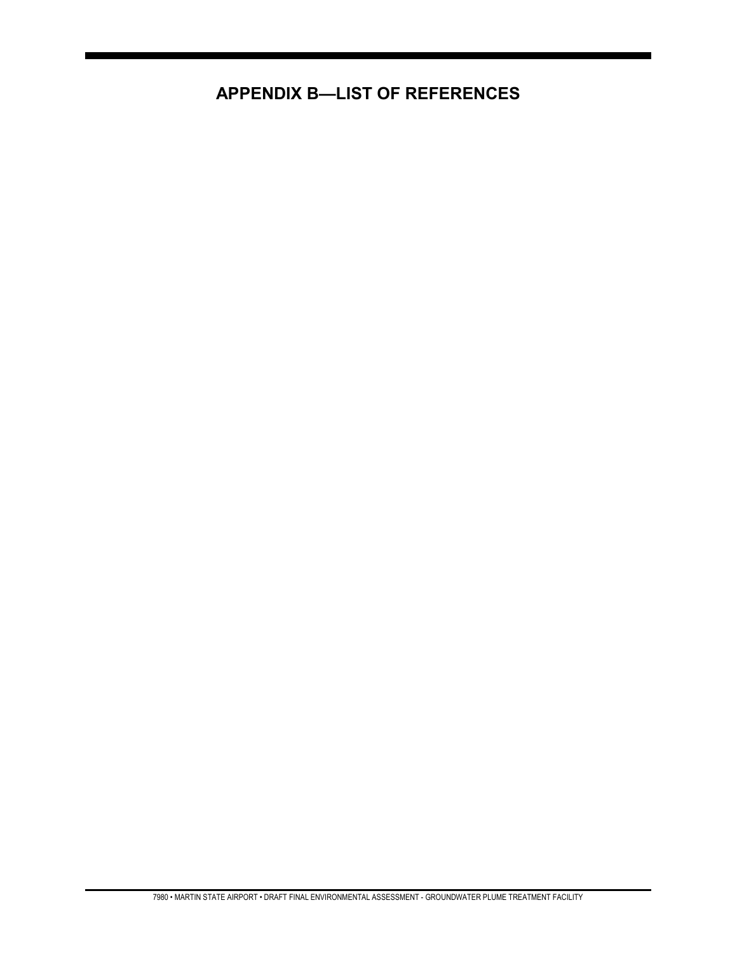## **APPENDIX B—LIST OF REFERENCES**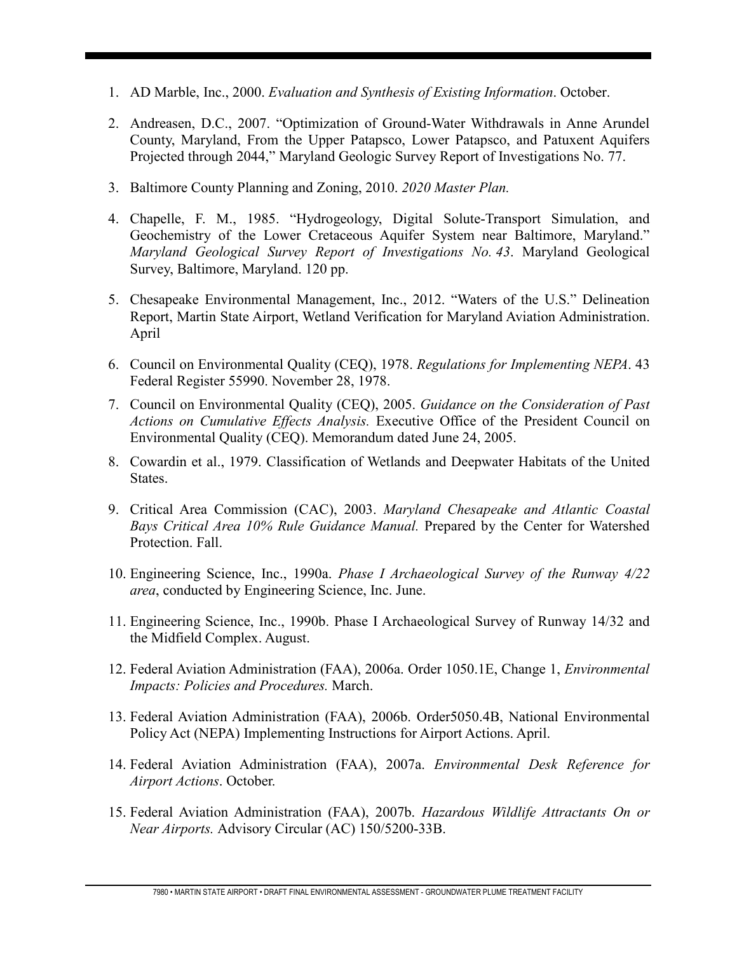- 1. AD Marble, Inc., 2000. *Evaluation and Synthesis of Existing Information*. October.
- 2. Andreasen, D.C., 2007. "Optimization of Ground-Water Withdrawals in Anne Arundel County, Maryland, From the Upper Patapsco, Lower Patapsco, and Patuxent Aquifers Projected through 2044," Maryland Geologic Survey Report of Investigations No. 77.
- 3. Baltimore County Planning and Zoning, 2010. *2020 Master Plan.*
- 4. Chapelle, F. M., 1985. "Hydrogeology, Digital Solute-Transport Simulation, and Geochemistry of the Lower Cretaceous Aquifer System near Baltimore, Maryland." *Maryland Geological Survey Report of Investigations No. 43*. Maryland Geological Survey, Baltimore, Maryland. 120 pp.
- 5. Chesapeake Environmental Management, Inc., 2012. "Waters of the U.S." Delineation Report, Martin State Airport, Wetland Verification for Maryland Aviation Administration. April
- 6. Council on Environmental Quality (CEQ), 1978. *Regulations for Implementing NEPA*. 43 Federal Register 55990. November 28, 1978.
- 7. Council on Environmental Quality (CEQ), 2005. *Guidance on the Consideration of Past Actions on Cumulative Effects Analysis.* Executive Office of the President Council on Environmental Quality (CEQ). Memorandum dated June 24, 2005.
- 8. Cowardin et al., 1979. Classification of Wetlands and Deepwater Habitats of the United States.
- 9. Critical Area Commission (CAC), 2003. *Maryland Chesapeake and Atlantic Coastal Bays Critical Area 10% Rule Guidance Manual.* Prepared by the Center for Watershed Protection. Fall.
- 10. Engineering Science, Inc., 1990a. *Phase I Archaeological Survey of the Runway 4/22 area*, conducted by Engineering Science, Inc. June.
- 11. Engineering Science, Inc., 1990b. Phase I Archaeological Survey of Runway 14/32 and the Midfield Complex. August.
- 12. Federal Aviation Administration (FAA), 2006a. Order 1050.1E, Change 1, *Environmental Impacts: Policies and Procedures.* March.
- 13. Federal Aviation Administration (FAA), 2006b. Order5050.4B, National Environmental Policy Act (NEPA) Implementing Instructions for Airport Actions. April.
- 14. Federal Aviation Administration (FAA), 2007a. *Environmental Desk Reference for Airport Actions*. October.
- 15. Federal Aviation Administration (FAA), 2007b. *Hazardous Wildlife Attractants On or Near Airports.* Advisory Circular (AC) 150/5200-33B.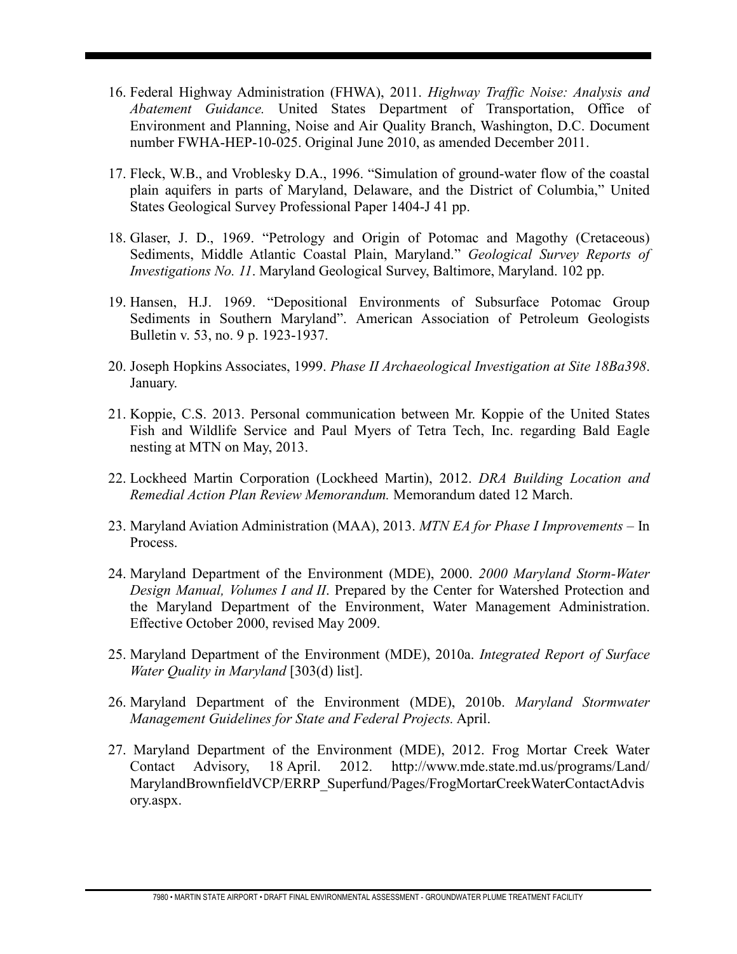- 16. Federal Highway Administration (FHWA), 2011. *Highway Traffic Noise: Analysis and Abatement Guidance.* United States Department of Transportation, Office of Environment and Planning, Noise and Air Quality Branch, Washington, D.C. Document number FWHA-HEP-10-025. Original June 2010, as amended December 2011.
- 17. Fleck, W.B., and Vroblesky D.A., 1996. "Simulation of ground-water flow of the coastal plain aquifers in parts of Maryland, Delaware, and the District of Columbia," United States Geological Survey Professional Paper 1404-J 41 pp.
- 18. Glaser, J. D., 1969. "Petrology and Origin of Potomac and Magothy (Cretaceous) Sediments, Middle Atlantic Coastal Plain, Maryland." *Geological Survey Reports of Investigations No. 11*. Maryland Geological Survey, Baltimore, Maryland. 102 pp.
- 19. Hansen, H.J. 1969. "Depositional Environments of Subsurface Potomac Group Sediments in Southern Maryland". American Association of Petroleum Geologists Bulletin v. 53, no. 9 p. 1923-1937.
- 20. Joseph Hopkins Associates, 1999. *Phase II Archaeological Investigation at Site 18Ba398*. January.
- 21. Koppie, C.S. 2013. Personal communication between Mr. Koppie of the United States Fish and Wildlife Service and Paul Myers of Tetra Tech, Inc. regarding Bald Eagle nesting at MTN on May, 2013.
- 22. Lockheed Martin Corporation (Lockheed Martin), 2012. *DRA Building Location and Remedial Action Plan Review Memorandum.* Memorandum dated 12 March.
- 23. Maryland Aviation Administration (MAA), 2013. *MTN EA for Phase I Improvements –* In Process.
- 24. Maryland Department of the Environment (MDE), 2000. *2000 Maryland Storm-Water Design Manual, Volumes I and II*. Prepared by the Center for Watershed Protection and the Maryland Department of the Environment, Water Management Administration. Effective October 2000, revised May 2009.
- 25. Maryland Department of the Environment (MDE), 2010a. *Integrated Report of Surface Water Quality in Maryland* [303(d) list].
- 26. Maryland Department of the Environment (MDE), 2010b. *Maryland Stormwater Management Guidelines for State and Federal Projects.* April.
- 27. Maryland Department of the Environment (MDE), 2012. Frog Mortar Creek Water Contact Advisory, 18 April. 2012. http://www.mde.state.md.us/programs/Land/ MarylandBrownfieldVCP/ERRP\_Superfund/Pages/FrogMortarCreekWaterContactAdvis ory.aspx.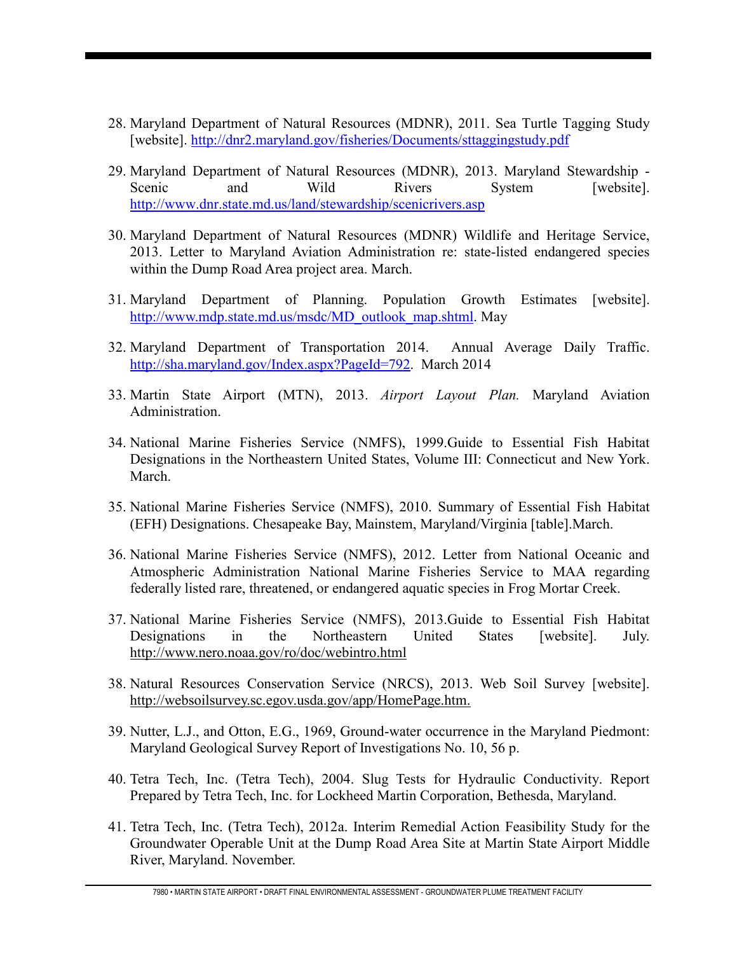- 28. Maryland Department of Natural Resources (MDNR), 2011. Sea Turtle Tagging Study [website].<http://dnr2.maryland.gov/fisheries/Documents/sttaggingstudy.pdf>
- 29. Maryland Department of Natural Resources (MDNR), 2013. Maryland Stewardship Scenic and Wild Rivers System [website]. <http://www.dnr.state.md.us/land/stewardship/scenicrivers.asp>
- 30. Maryland Department of Natural Resources (MDNR) Wildlife and Heritage Service, 2013. Letter to Maryland Aviation Administration re: state-listed endangered species within the Dump Road Area project area. March.
- 31. Maryland Department of Planning. Population Growth Estimates [website]. [http://www.mdp.state.md.us/msdc/MD\\_outlook\\_map.shtml.](http://www.mdp.state.md.us/msdc/MD_outlook_map.shtml) May
- 32. Maryland Department of Transportation 2014. Annual Average Daily Traffic. [http://sha.maryland.gov/Index.aspx?PageId=792.](http://sha.maryland.gov/Index.aspx?PageId=792) March 2014
- 33. Martin State Airport (MTN), 2013. *Airport Layout Plan.* Maryland Aviation Administration.
- 34. National Marine Fisheries Service (NMFS), 1999.Guide to Essential Fish Habitat Designations in the Northeastern United States, Volume III: Connecticut and New York. March.
- 35. National Marine Fisheries Service (NMFS), 2010. Summary of Essential Fish Habitat (EFH) Designations. Chesapeake Bay, Mainstem, Maryland/Virginia [table].March.
- 36. National Marine Fisheries Service (NMFS), 2012. Letter from National Oceanic and Atmospheric Administration National Marine Fisheries Service to MAA regarding federally listed rare, threatened, or endangered aquatic species in Frog Mortar Creek.
- 37. National Marine Fisheries Service (NMFS), 2013.Guide to Essential Fish Habitat Designations in the Northeastern United States [website]. July. <http://www.nero.noaa.gov/ro/doc/webintro.html>
- 38. Natural Resources Conservation Service (NRCS), 2013. Web Soil Survey [website]. [http://websoilsurvey.sc.egov.usda.gov/app/HomePage.htm.](http://websoilsurvey.sc.egov.usda.gov/app/HomePage.htm)
- 39. Nutter, L.J., and Otton, E.G., 1969, Ground-water occurrence in the Maryland Piedmont: Maryland Geological Survey Report of Investigations No. 10, 56 p.
- 40. Tetra Tech, Inc. (Tetra Tech), 2004. Slug Tests for Hydraulic Conductivity. Report Prepared by Tetra Tech, Inc. for Lockheed Martin Corporation, Bethesda, Maryland.
- 41. Tetra Tech, Inc. (Tetra Tech), 2012a. Interim Remedial Action Feasibility Study for the Groundwater Operable Unit at the Dump Road Area Site at Martin State Airport Middle River, Maryland. November.